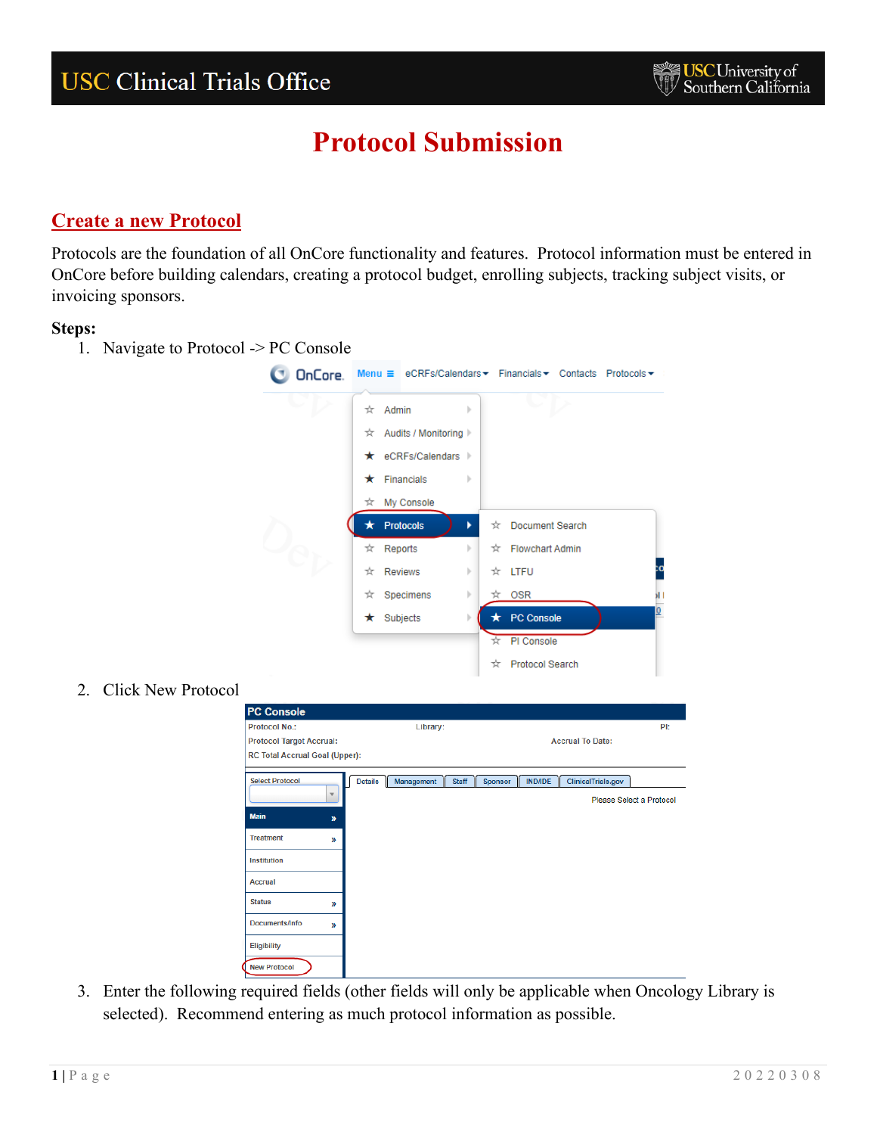### **Create a new Protocol**

Protocols are the foundation of all OnCore functionality and features. Protocol information must be entered in OnCore before building calendars, creating a protocol budget, enrolling subjects, tracking subject visits, or invoicing sponsors.

#### **Steps:**

1. Navigate to Protocol -> PC Console



2. Click New Protocol

| <b>PC Console</b>               |                                              |                                                               |
|---------------------------------|----------------------------------------------|---------------------------------------------------------------|
| <b>Protocol No.:</b>            | Library:                                     | PI:                                                           |
| <b>Protocol Target Accrual:</b> |                                              | <b>Accrual To Date:</b>                                       |
| RC Total Accrual Goal (Upper):  |                                              |                                                               |
| <b>Select Protocol</b>          | <b>Details</b><br><b>Staff</b><br>Management | <b>IND/IDE</b><br><b>ClinicalTrials.gov</b><br><b>Sponsor</b> |
|                                 |                                              | Please Select a Protocol                                      |
| <b>Main</b><br>$\boldsymbol{y}$ |                                              |                                                               |
| <b>Treatment</b><br>»           |                                              |                                                               |
| Institution                     |                                              |                                                               |
| <b>Accrual</b>                  |                                              |                                                               |
| <b>Status</b><br>$\mathbf{v}$   |                                              |                                                               |
| Documents/Info<br>$\mathcal{Y}$ |                                              |                                                               |
| <b>Eligibility</b>              |                                              |                                                               |
| <b>New Protocol</b>             |                                              |                                                               |

3. Enter the following required fields (other fields will only be applicable when Oncology Library is selected). Recommend entering as much protocol information as possible.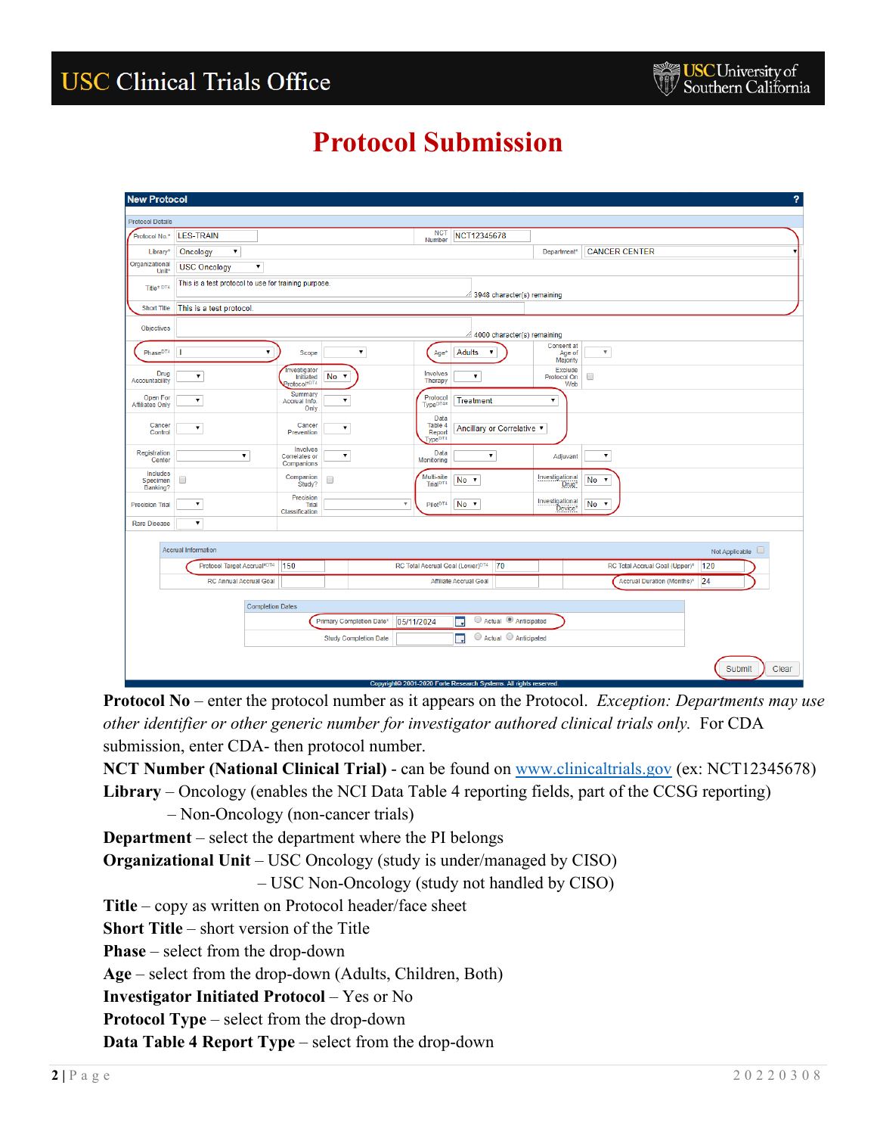| <b>New Protocol</b>                 |                                |                                                                      |                                 |                                                  |                                                                   |                                  |                                | $\overline{?}$        |
|-------------------------------------|--------------------------------|----------------------------------------------------------------------|---------------------------------|--------------------------------------------------|-------------------------------------------------------------------|----------------------------------|--------------------------------|-----------------------|
| <b>Protocol Details</b>             |                                |                                                                      |                                 |                                                  |                                                                   |                                  |                                |                       |
| Protocol No.*                       | <b>LES-TRAIN</b>               |                                                                      |                                 | <b>NCT</b><br>Number                             | NCT12345678                                                       |                                  |                                |                       |
| Library*                            | $\pmb{\mathrm{v}}$<br>Oncology |                                                                      |                                 |                                                  |                                                                   | Department <sup>*</sup>          | <b>CANCER CENTER</b>           |                       |
| Organizational<br>Unit <sup>*</sup> | <b>USC Oncology</b>            | $\pmb{\mathrm{v}}$                                                   |                                 |                                                  |                                                                   |                                  |                                |                       |
| Title* DT4                          |                                | This is a test protocol to use for training purpose.                 |                                 |                                                  | 3948 character(s) remaining                                       |                                  |                                |                       |
| <b>Short Title</b>                  | This is a test protocol.       |                                                                      |                                 |                                                  |                                                                   |                                  |                                |                       |
| Objectives                          |                                |                                                                      |                                 |                                                  | 4000 character(s) remaining                                       |                                  |                                |                       |
| Phase <sup>DT4</sup>                | П                              | ۷.<br>Scope                                                          | ۷.                              | Age*                                             | Adults<br>$\pmb{\mathrm{v}}$                                      | Consent at<br>Age of<br>Majority | $\boldsymbol{\mathrm{v}}$      |                       |
| Drug<br>Accountability              | $\pmb{\mathrm{v}}$             | Investigator<br>Initiated<br>Protocol*DT4                            | No v                            | Involves<br>Therapy                              | $\blacktriangledown$                                              | Exclude<br>Protocol On<br>Web    | 0                              |                       |
| Open For<br><b>Affiliates Only</b>  | $\pmb{\mathrm{v}}$             | Summary<br>Accrual Info.<br>Only                                     | $\pmb{\mathrm{v}}$              | Protocol<br>Type <sup>DT4*</sup>                 | <b>Treatment</b>                                                  | $\pmb{\mathrm{v}}$               |                                |                       |
| Cancer<br>Control                   | $\pmb{\mathrm{v}}$             | Cancer<br>Prevention                                                 | ۷.                              | Data<br>Table 4<br>Report<br>Type <sup>DT4</sup> | Ancillary or Correlative ▼                                        |                                  |                                |                       |
| Registration<br>Center              |                                | Involves<br>$\pmb{\mathrm{v}}$<br><b>Correlates or</b><br>Companions | $\pmb{\mathrm{v}}$              | Data<br>Monitoring                               | $\pmb{\mathrm{v}}$                                                | Adjuvant                         | $\pmb{\mathrm{v}}$             |                       |
| Includes<br>Specimen<br>Banking?    | 0                              | Companion<br>Study?                                                  | 0                               | Multi-site<br>Trial <sup>DT4</sup>               | No v                                                              | Investigational<br>Drug*         | No v                           |                       |
| <b>Precision Trial</b>              |                                | Precision<br><b>Trial</b><br>Classification                          | $\overline{\mathbf{v}}$         | Pilot <sup>DT4</sup>                             | No v                                                              | Investigational<br>Device*       | No v                           |                       |
| <b>Rare Disease</b>                 | $\pmb{\mathrm{v}}$             |                                                                      |                                 |                                                  |                                                                   |                                  |                                |                       |
|                                     | <b>Accrual Information</b>     |                                                                      |                                 |                                                  |                                                                   |                                  |                                | Not Applicable $\Box$ |
|                                     | Protocol Target Accrual*DT4    | 150                                                                  |                                 | RC Total Accrual Goal (Lower) <sup>DT4</sup>     | 70                                                                |                                  | RC Total Accrual Goal (Upper)* | 120                   |
|                                     | <b>RC Annual Accrual Goal</b>  |                                                                      |                                 |                                                  | <b>Affiliate Accrual Goal</b>                                     |                                  | Accrual Duration (Months)*     | 24                    |
|                                     |                                |                                                                      |                                 |                                                  |                                                                   |                                  |                                |                       |
|                                     |                                | <b>Completion Dates</b>                                              | <b>Primary Completion Date*</b> | 05/11/2024                                       | ○ Actual ● Anticipated<br>殿                                       |                                  |                                |                       |
|                                     |                                |                                                                      | <b>Study Completion Date</b>    |                                                  | $\bigcirc$ Actual $\bigcirc$ Anticipated<br>戰                     |                                  |                                |                       |
|                                     |                                |                                                                      |                                 |                                                  |                                                                   |                                  |                                |                       |
|                                     |                                |                                                                      |                                 |                                                  | Copyright© 2001-2020 Forte Research Systems. All rights reserved. |                                  |                                | Submit<br>Clear       |

**Protocol No** – enter the protocol number as it appears on the Protocol. *Exception: Departments may use other identifier or other generic number for investigator authored clinical trials only.* For CDA submission, enter CDA- then protocol number.

**NCT Number (National Clinical Trial)** - can be found on [www.clinicaltrials.gov](http://www.clinicaltrials.gov/) (ex: NCT12345678)

**Library** – Oncology (enables the NCI Data Table 4 reporting fields, part of the CCSG reporting)

– Non-Oncology (non-cancer trials)

**Department** – select the department where the PI belongs

**Organizational Unit** – USC Oncology (study is under/managed by CISO)

– USC Non-Oncology (study not handled by CISO)

**Title** – copy as written on Protocol header/face sheet

**Short Title** – short version of the Title

**Phase** – select from the drop-down

**Age** – select from the drop-down (Adults, Children, Both)

**Investigator Initiated Protocol** – Yes or No

**Protocol Type** – select from the drop-down

**Data Table 4 Report Type** – select from the drop-down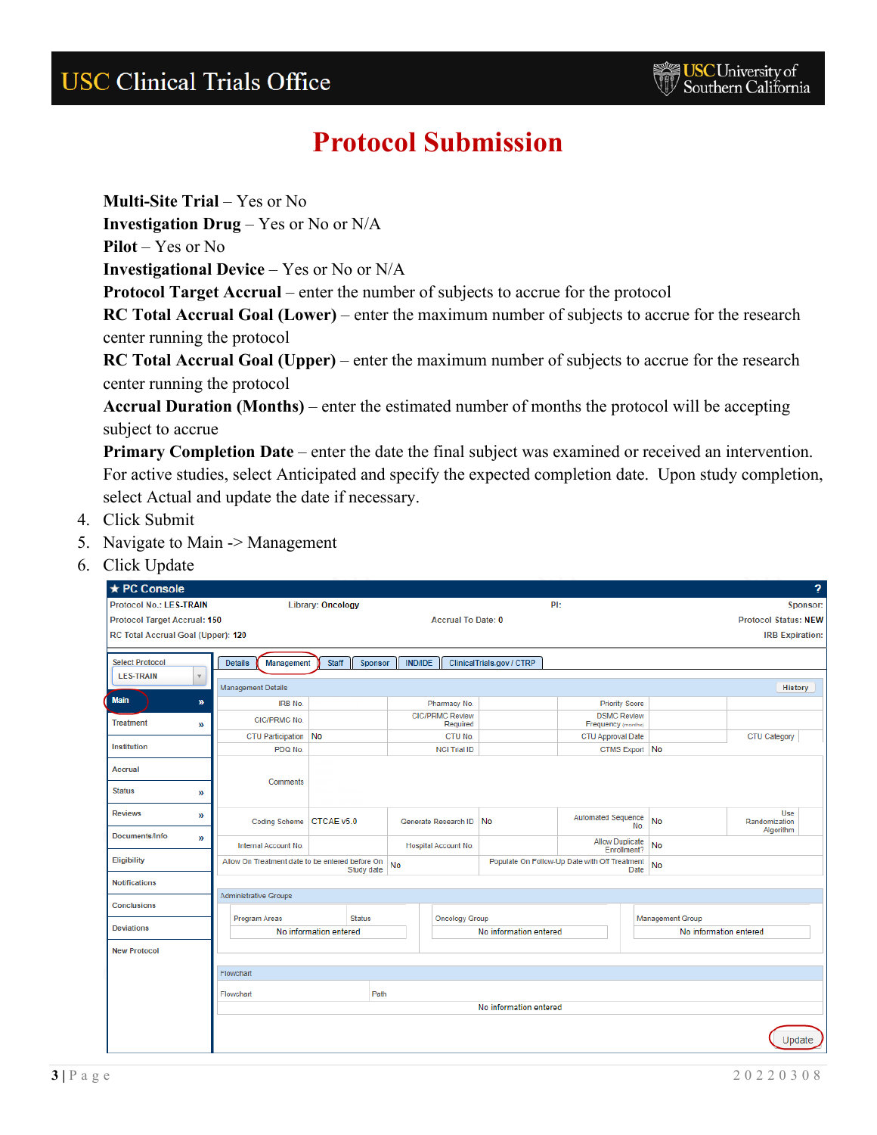**Multi-Site Trial** – Yes or No

**Investigation Drug** – Yes or No or N/A

**Pilot** – Yes or No

**Investigational Device** – Yes or No or N/A

**Protocol Target Accrual** – enter the number of subjects to accrue for the protocol

**RC Total Accrual Goal (Lower)** – enter the maximum number of subjects to accrue for the research center running the protocol

**RC Total Accrual Goal (Upper)** – enter the maximum number of subjects to accrue for the research center running the protocol

**Accrual Duration (Months)** – enter the estimated number of months the protocol will be accepting subject to accrue

**Primary Completion Date** – enter the date the final subject was examined or received an intervention. For active studies, select Anticipated and specify the expected completion date. Upon study completion, select Actual and update the date if necessary.

- 4. Click Submit
- 5. Navigate to Main -> Management
- 6. Click Update

| ★ PC Console                        |                                                 |                          |                |                                    |                           |                                               |      |                         | $\overline{?}$                    |
|-------------------------------------|-------------------------------------------------|--------------------------|----------------|------------------------------------|---------------------------|-----------------------------------------------|------|-------------------------|-----------------------------------|
| <b>Protocol No.: LES-TRAIN</b>      |                                                 | <b>Library: Oncology</b> |                |                                    |                           | PI:                                           |      |                         | Sponsor:                          |
| <b>Protocol Target Accrual: 150</b> |                                                 |                          |                | <b>Accrual To Date: 0</b>          |                           |                                               |      |                         | <b>Protocol Status: NEW</b>       |
| RC Total Accrual Goal (Upper): 120  |                                                 |                          |                |                                    |                           |                                               |      |                         | <b>IRB Expiration:</b>            |
|                                     |                                                 |                          |                |                                    |                           |                                               |      |                         |                                   |
| <b>Select Protocol</b>              | <b>Details</b><br>Management                    | <b>Staff</b><br>Sponsor  | <b>IND/IDE</b> |                                    | ClinicalTrials.gov / CTRP |                                               |      |                         |                                   |
| <b>LES-TRAIN</b><br>$\mathbf v$     | <b>Management Details</b>                       |                          |                |                                    |                           |                                               |      |                         | History                           |
| Main<br>w                           | <b>IRB No.</b>                                  |                          |                | Pharmacy No.                       |                           | <b>Priority Score</b>                         |      |                         |                                   |
| <b>Treatment</b><br>»               | CIC/PRMC No.                                    |                          |                | <b>CIC/PRMC Review</b><br>Required |                           | <b>DSMC Review</b><br>Frequency (months)      |      |                         |                                   |
|                                     | <b>CTU Participation</b>                        | No                       |                | CTU No.                            |                           | CTU Approval Date                             |      |                         | CTU Category                      |
| Institution                         | PDQ No.                                         |                          |                | <b>NCI Trial ID</b>                |                           | CTMS Export No                                |      |                         |                                   |
| <b>Accrual</b>                      |                                                 |                          |                |                                    |                           |                                               |      |                         |                                   |
| <b>Status</b><br>»                  | Comments                                        |                          |                |                                    |                           |                                               |      |                         |                                   |
| <b>Reviews</b><br>»                 | Coding Scheme   CTCAE v5.0                      |                          |                | Generate Research ID No            |                           | <b>Automated Sequence</b>                     | No.  | <b>No</b>               | Use<br>Randomization<br>Algorithm |
| Documents/Info<br>$\mathcal{Y}$     | Internal Account No.                            |                          |                | Hospital Account No.               |                           | <b>Allow Duplicate</b><br>Enrollment?         |      | <b>No</b>               |                                   |
| Eligibility                         | Allow On Treatment date to be entered before On | Study date               | No             |                                    |                           | Populate On Follow-Up Date with Off Treatment | Date | <b>No</b>               |                                   |
| <b>Notifications</b>                |                                                 |                          |                |                                    |                           |                                               |      |                         |                                   |
|                                     | <b>Administrative Groups</b>                    |                          |                |                                    |                           |                                               |      |                         |                                   |
| <b>Conclusions</b>                  | Program Areas                                   | <b>Status</b>            |                | <b>Oncology Group</b>              |                           |                                               |      | <b>Management Group</b> |                                   |
| <b>Deviations</b>                   |                                                 | No information entered   |                |                                    | No information entered    |                                               |      | No information entered  |                                   |
| <b>New Protocol</b>                 |                                                 |                          |                |                                    |                           |                                               |      |                         |                                   |
|                                     |                                                 |                          |                |                                    |                           |                                               |      |                         |                                   |
|                                     | Flowchart                                       |                          |                |                                    |                           |                                               |      |                         |                                   |
|                                     | Flowchart                                       | Path                     |                |                                    |                           |                                               |      |                         |                                   |
|                                     |                                                 |                          |                |                                    | No information entered    |                                               |      |                         |                                   |
|                                     |                                                 |                          |                |                                    |                           |                                               |      |                         |                                   |
|                                     |                                                 |                          |                |                                    |                           |                                               |      |                         | Update                            |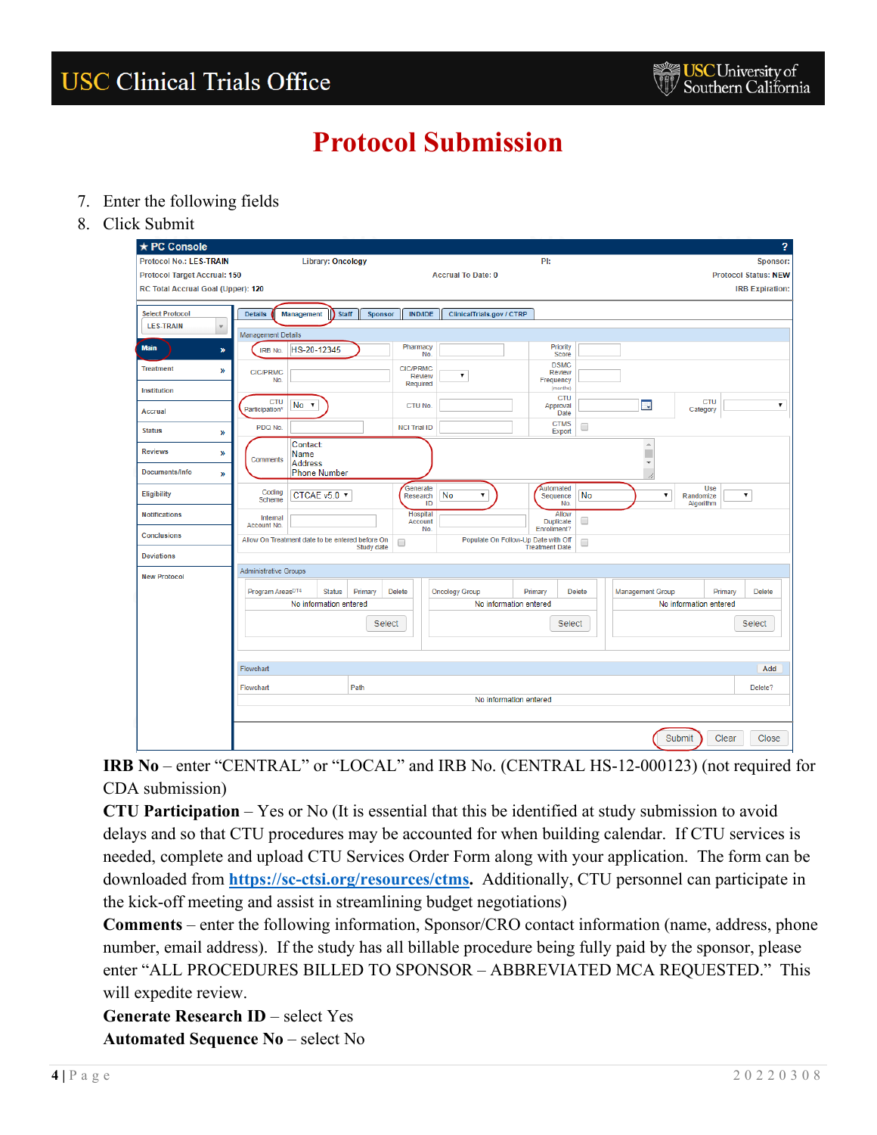- 7. Enter the following fields
- 8. Click Submit

| ★ PC Console                        |                                                 |                          |                                       |                                     |                                 |                                 |                                         |                               | 2                           |
|-------------------------------------|-------------------------------------------------|--------------------------|---------------------------------------|-------------------------------------|---------------------------------|---------------------------------|-----------------------------------------|-------------------------------|-----------------------------|
| <b>Protocol No.: LES-TRAIN</b>      |                                                 | <b>Library: Oncology</b> |                                       |                                     | PI:                             |                                 |                                         |                               | Sponsor:                    |
| <b>Protocol Target Accrual: 150</b> |                                                 |                          |                                       | <b>Accrual To Date: 0</b>           |                                 |                                 |                                         |                               | <b>Protocol Status: NEW</b> |
| RC Total Accrual Goal (Upper): 120  |                                                 |                          |                                       |                                     |                                 |                                 |                                         |                               | <b>IRB Expiration:</b>      |
|                                     |                                                 |                          |                                       |                                     |                                 |                                 |                                         |                               |                             |
| <b>Select Protocol</b>              | <b>Details</b><br>Management                    | <b>Staff</b><br>Sponsor  | <b>IND/IDE</b>                        | ClinicalTrials.gov / CTRP           |                                 |                                 |                                         |                               |                             |
| <b>LES-TRAIN</b><br>$\mathbf{v}$    | <b>Management Details</b>                       |                          |                                       |                                     |                                 |                                 |                                         |                               |                             |
| <b>Main</b><br>»                    | HS-20-12345<br><b>IRB No.</b>                   |                          | Pharmacy<br>No.                       |                                     |                                 | Priority<br>Score               |                                         |                               |                             |
| <b>Treatment</b><br>$\mathcal{Y}$   | <b>CIC/PRMC</b><br>No.                          |                          | <b>CIC/PRMC</b><br>Review<br>Required | ,                                   | Frequency                       | <b>DSMC</b><br><b>Review</b>    |                                         |                               |                             |
| <b>Institution</b>                  | CTU<br>No.                                      |                          |                                       |                                     |                                 | (months)<br><b>CTU</b>          | 靈                                       | <b>CTU</b>                    | $\pmb{\mathrm{v}}$          |
| <b>Accrual</b>                      | Participation*                                  |                          | CTU No.                               |                                     |                                 | Approval<br>Date<br><b>CTMS</b> |                                         | Category                      |                             |
| <b>Status</b><br>»                  | PDQ No.                                         |                          | <b>NCI Trial ID</b>                   |                                     |                                 | O<br>Export                     |                                         |                               |                             |
| <b>Reviews</b><br>»                 | Contact:<br>Name<br>Comments<br><b>Address</b>  |                          |                                       |                                     |                                 |                                 | $\Delta$<br>п<br>$\overline{\mathbf v}$ |                               |                             |
| Documents/Info<br>$\mathcal{Y}$     | <b>Phone Number</b>                             |                          |                                       |                                     |                                 |                                 | /1                                      |                               |                             |
| <b>Eligibility</b>                  | Coding<br>CTCAE v5.0 ▼<br>Scheme                |                          | Generate<br>Research<br>ID            | No<br>7                             | Automated<br>Sequence           | No<br>No.                       | $\pmb{\mathrm{v}}$                      | Use<br>Randomize<br>Algorithm | $\pmb{\mathrm{v}}$          |
| <b>Notifications</b>                | Internal<br>Account No.                         |                          | <b>Hospital</b><br>Account<br>No.     |                                     | <b>Duplicate</b><br>Enrollment? | Allow<br>0                      |                                         |                               |                             |
| <b>Conclusions</b>                  | Allow On Treatment date to be entered before On | Study date               | $\Box$                                | Populate On Follow-Up Date with Off | <b>Treatment Date</b>           | $\Box$                          |                                         |                               |                             |
| <b>Deviations</b>                   |                                                 |                          |                                       |                                     |                                 |                                 |                                         |                               |                             |
| <b>New Protocol</b>                 | <b>Administrative Groups</b>                    |                          |                                       |                                     |                                 |                                 |                                         |                               |                             |
|                                     | Program Areas <sup>DT4</sup>                    | <b>Status</b><br>Primary | <b>Delete</b>                         | <b>Oncology Group</b>               | Primary                         | <b>Delete</b>                   | <b>Management Group</b>                 | Primary                       | <b>Delete</b>               |
|                                     |                                                 | No information entered   |                                       | No information entered              |                                 |                                 |                                         | No information entered        |                             |
|                                     |                                                 | <b>Select</b>            |                                       |                                     |                                 | <b>Select</b>                   |                                         |                               | <b>Select</b>               |
|                                     |                                                 |                          |                                       |                                     |                                 |                                 |                                         |                               |                             |
|                                     | Flowchart                                       |                          |                                       |                                     |                                 |                                 |                                         |                               | Add                         |
|                                     | Flowchart                                       | Path                     |                                       |                                     |                                 |                                 |                                         |                               | Delete?                     |
|                                     |                                                 |                          |                                       | No information entered              |                                 |                                 |                                         |                               |                             |
|                                     |                                                 |                          |                                       |                                     |                                 |                                 |                                         | Submit<br>Clear               | Close                       |

**IRB No** – enter "CENTRAL" or "LOCAL" and IRB No. (CENTRAL HS-12-000123) (not required for CDA submission)

**CTU Participation** – Yes or No (It is essential that this be identified at study submission to avoid delays and so that CTU procedures may be accounted for when building calendar. If CTU services is needed, complete and upload CTU Services Order Form along with your application. The form can be downloaded from **[https://sc-ctsi.org/resources/ctms.](https://sc-ctsi.org/resources/ctms)** Additionally, CTU personnel can participate in the kick-off meeting and assist in streamlining budget negotiations)

**Comments** – enter the following information, Sponsor/CRO contact information (name, address, phone number, email address). If the study has all billable procedure being fully paid by the sponsor, please enter "ALL PROCEDURES BILLED TO SPONSOR – ABBREVIATED MCA REQUESTED." This will expedite review.

**Generate Research ID** – select Yes **Automated Sequence No** – select No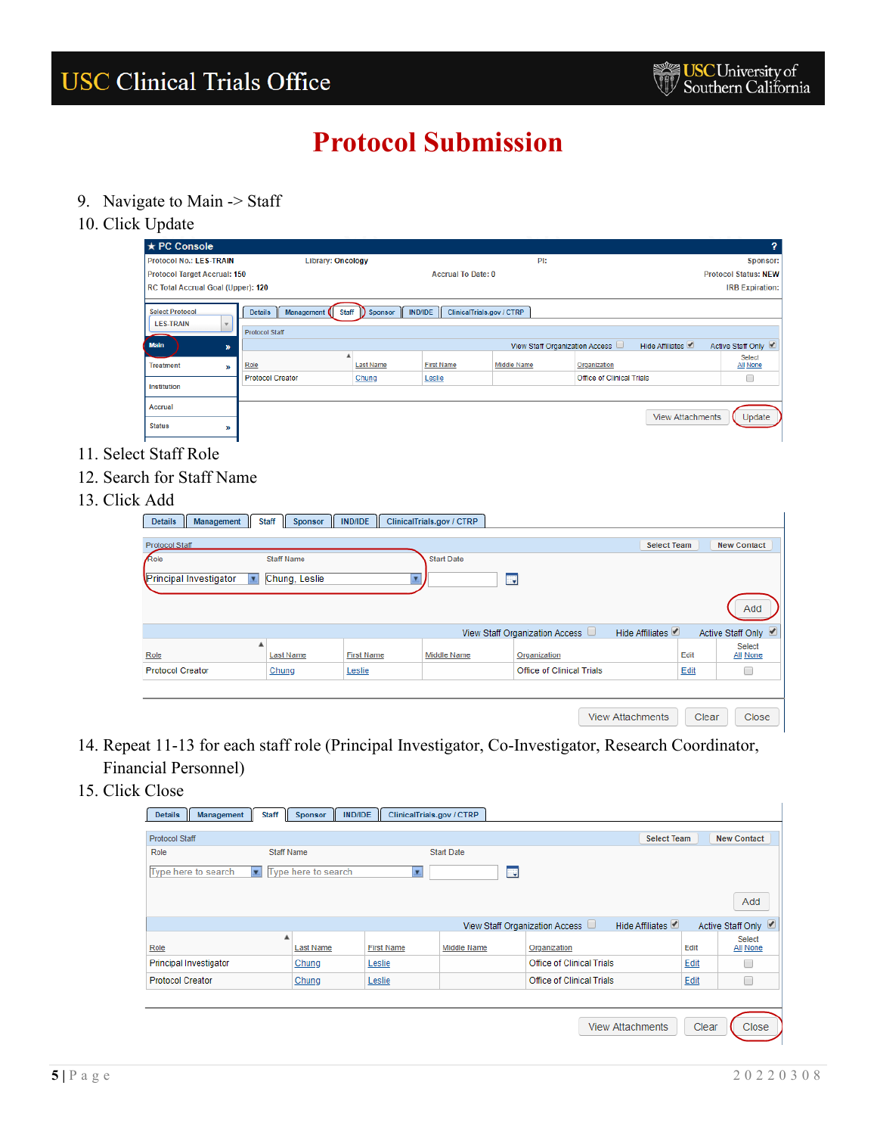- 9. Navigate to Main -> Staff
- 10. Click Update

| л.                                            |                                                     |                  |                                             |                                |                                  |                         |                             |
|-----------------------------------------------|-----------------------------------------------------|------------------|---------------------------------------------|--------------------------------|----------------------------------|-------------------------|-----------------------------|
| $\star$ PC Console                            |                                                     |                  |                                             |                                |                                  |                         | 2                           |
| <b>Protocol No.: LES-TRAIN</b>                | Library: Oncology                                   |                  |                                             | PI:                            |                                  |                         | Sponsor:                    |
| <b>Protocol Target Accrual: 150</b>           |                                                     |                  | <b>Accrual To Date: 0</b>                   |                                |                                  |                         | <b>Protocol Status: NEW</b> |
| RC Total Accrual Goal (Upper): 120            |                                                     |                  |                                             |                                |                                  |                         | <b>IRB Expiration:</b>      |
| <b>Select Protocol</b>                        | <b>Details</b><br><b>Staff</b><br><b>Management</b> | Sponsor<br>D     | ClinicalTrials.gov / CTRP<br><b>IND/IDE</b> |                                |                                  |                         |                             |
| <b>LES-TRAIN</b><br>$\boldsymbol{\mathrm{v}}$ | <b>Protocol Staff</b>                               |                  |                                             |                                |                                  |                         |                             |
| <b>Main</b><br>$\boldsymbol{y}$               |                                                     |                  |                                             | View Staff Organization Access |                                  | Hide Affiliates         | Active Staff Only           |
| <b>Treatment</b><br>»                         | Role                                                | <b>Last Name</b> | <b>First Name</b>                           | Middle Name                    | Organization                     |                         | Select<br>All None          |
| Institution                                   | <b>Protocol Creator</b>                             | Chung            | Leslie                                      |                                | <b>Office of Clinical Trials</b> |                         |                             |
|                                               |                                                     |                  |                                             |                                |                                  |                         |                             |
| Accrual                                       |                                                     |                  |                                             |                                |                                  | <b>View Attachments</b> | Update                      |
| <b>Status</b><br>W                            |                                                     |                  |                                             |                                |                                  |                         |                             |
|                                               |                                                     |                  |                                             |                                |                                  |                         |                             |

- 11. Select Staff Role
- 12. Search for Staff Name
- 13. Click Add

| Auu                                        |                                                         |                   |                           |                                |                         |       |                                  |
|--------------------------------------------|---------------------------------------------------------|-------------------|---------------------------|--------------------------------|-------------------------|-------|----------------------------------|
| <b>Details</b><br>Management               | <b>Staff</b><br>$\mathbb{I}$<br>Sponsor<br>$\mathbf{I}$ | IND/IDE           | ClinicalTrials.gov / CTRP |                                |                         |       |                                  |
| Protocol Staff                             |                                                         |                   |                           |                                | <b>Select Team</b>      |       | <b>New Contact</b>               |
| Role<br>Principal Investigator<br><b>v</b> | <b>Staff Name</b><br>Chung, Leslie                      |                   | <b>Start Date</b>         | H,                             |                         |       |                                  |
|                                            |                                                         |                   |                           |                                |                         |       | Add                              |
|                                            |                                                         |                   |                           | View Staff Organization Access | Hide Affiliates         |       | Active Staff Only                |
| ▲<br>Role                                  | <b>Last Name</b>                                        | <b>First Name</b> | Middle Name               | Organization                   |                         | Edit  | <b>Select</b><br><b>All None</b> |
| <b>Protocol Creator</b>                    | Chung                                                   | Leslie            |                           | Office of Clinical Trials      |                         | Edit  | O                                |
|                                            |                                                         |                   |                           |                                |                         |       |                                  |
|                                            |                                                         |                   |                           |                                | <b>View Attachments</b> | Clear | Close                            |

- 14. Repeat 11-13 for each staff role (Principal Investigator, Co-Investigator, Research Coordinator, Financial Personnel)
- 15. Click Close

| <b>Details</b><br>Management  | <b>Staff</b>      | Sponsor             | <b>IND/IDE</b> |                   | ClinicalTrials.gov / CTRP |    |                                  |                         |       |                           |
|-------------------------------|-------------------|---------------------|----------------|-------------------|---------------------------|----|----------------------------------|-------------------------|-------|---------------------------|
| <b>Protocol Staff</b>         |                   |                     |                |                   |                           |    |                                  | <b>Select Team</b>      |       | <b>New Contact</b>        |
| Role                          | <b>Staff Name</b> |                     |                |                   | <b>Start Date</b>         |    |                                  |                         |       |                           |
| Type here to search           | Ы                 | Type here to search |                | ×                 |                           | H. |                                  |                         |       |                           |
|                               |                   |                     |                |                   |                           |    |                                  |                         |       | Add                       |
|                               |                   |                     |                |                   |                           |    | View Staff Organization Access   | Hide Affiliates         |       | Active Staff Only √       |
| Role                          | ۸                 | <b>Last Name</b>    |                | <b>First Name</b> | Middle Name               |    | Organization                     |                         | Edit  | <b>Select</b><br>All None |
| <b>Principal Investigator</b> |                   | Chung               | Leslie         |                   |                           |    | <b>Office of Clinical Trials</b> |                         | Edit  |                           |
| <b>Protocol Creator</b>       |                   | Chung               | Leslie         |                   |                           |    | <b>Office of Clinical Trials</b> |                         | Edit  | □                         |
|                               |                   |                     |                |                   |                           |    |                                  |                         |       |                           |
|                               |                   |                     |                |                   |                           |    |                                  | <b>View Attachments</b> | Clear | Close                     |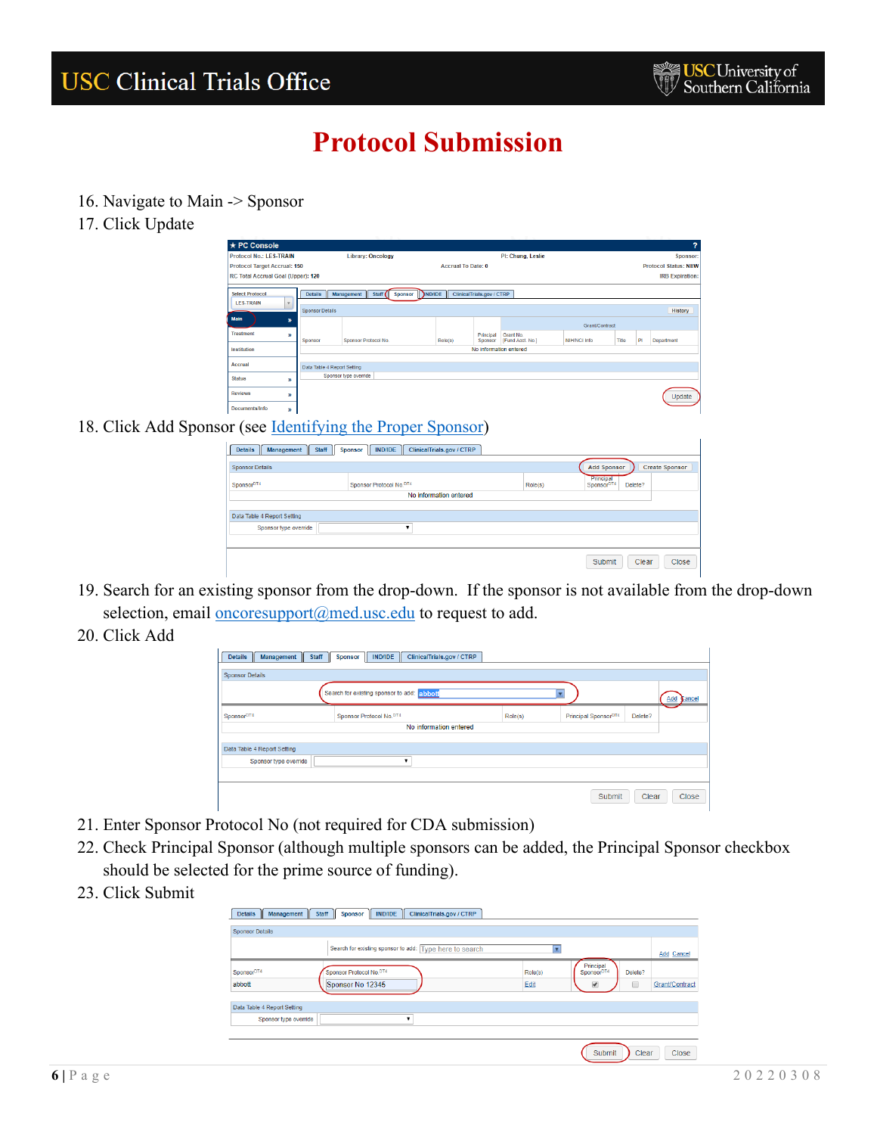- 16. Navigate to Main -> Sponsor
- 17. Click Update

| ★ PC Console                                         |                             |                                  |                           |                           |                               |                     |       |    | 2                           |
|------------------------------------------------------|-----------------------------|----------------------------------|---------------------------|---------------------------|-------------------------------|---------------------|-------|----|-----------------------------|
| <b>Protocol No.: LES-TRAIN</b>                       |                             | <b>Library: Oncology</b>         |                           |                           | PI: Chung, Leslie             |                     |       |    | Sponsor:                    |
| <b>Protocol Target Accrual: 150</b>                  |                             |                                  | <b>Accrual To Date: 0</b> |                           |                               |                     |       |    | <b>Protocol Status: NEW</b> |
| RC Total Accrual Goal (Upper): 120                   |                             |                                  |                           |                           |                               |                     |       |    | <b>IRB Expiration:</b>      |
| <b>Select Protocol</b><br><b>LES-TRAIN</b><br>$\sim$ | <b>Details</b>              | Management<br>Staff (<br>Sponsor | <b>NND/IDE</b>            | ClinicalTrials.gov / CTRP |                               |                     |       |    |                             |
|                                                      | <b>Sponsor Details</b>      |                                  |                           |                           |                               |                     |       |    | History                     |
| <b>Main</b><br>$\boldsymbol{v}$                      |                             |                                  |                           |                           |                               | Grant/Contract      |       |    |                             |
| <b>Treatment</b><br>»                                | Sponsor                     | Sponsor Protocol No.             | Role(s)                   | Principal<br>Sponsor      | Grant No.<br>[Fund Acct. No.] | <b>NIH/NCI Info</b> | Title | PI | Department                  |
| Institution                                          |                             |                                  |                           |                           | No information entered        |                     |       |    |                             |
| Accrual                                              | Data Table 4 Report Setting |                                  |                           |                           |                               |                     |       |    |                             |
| <b>Status</b><br>y)                                  |                             | Sponsor type override            |                           |                           |                               |                     |       |    |                             |
| <b>Reviews</b><br>y)                                 |                             |                                  |                           |                           |                               |                     |       |    | Update                      |
| Documents/Info<br>))                                 |                             |                                  |                           |                           |                               |                     |       |    |                             |
| $T-1$                                                | $\cdots$                    | $\sqrt{1}$ n                     | $\sim$                    |                           |                               |                     |       |    |                             |

#### 18. Click Add Sponsor (see *Identifying the Proper Sponsor*)

| <b>Sponsor Details</b>      |                                     |         | <b>Add Sponsor</b><br><b>Create Sponsor</b>    |
|-----------------------------|-------------------------------------|---------|------------------------------------------------|
| Sponsor <sup>DT4</sup>      | Sponsor Protocol No. <sup>DT4</sup> | Role(s) | Principal<br>Sponsor <sup>DT4</sup><br>Delete? |
|                             | No information entered              |         |                                                |
|                             |                                     |         |                                                |
| Data Table 4 Report Setting |                                     |         |                                                |
| Sponsor type override       | -                                   |         |                                                |
|                             |                                     |         |                                                |

- 19. Search for an existing sponsor from the drop-down. If the sponsor is not available from the drop-down selection, email [oncoresupport@med.usc.edu](mailto:oncoresupport@med.usc.edu) to request to add.
- 20. Click Add

| Staff<br><b>Details</b><br><b>Management</b><br><b>Sponsor Details</b> | Sponsor    IND/IDE   ClinicalTrials.gov / CTRP |         |                                  |         |            |
|------------------------------------------------------------------------|------------------------------------------------|---------|----------------------------------|---------|------------|
|                                                                        | Search for existing sponsor to add: abbott     |         |                                  |         | Add Cancel |
| Sponsor <sup>DT4</sup>                                                 | Sponsor Protocol No.DT4                        | Role(s) | Principal Sponsor <sup>DT4</sup> | Delete? |            |
|                                                                        | No information entered                         |         |                                  |         |            |
| Data Table 4 Report Setting                                            |                                                |         |                                  |         |            |
| Sponsor type override                                                  |                                                |         |                                  |         |            |
|                                                                        |                                                |         |                                  |         |            |
|                                                                        |                                                |         | Submit                           | Clear   | Close      |

- 21. Enter Sponsor Protocol No (not required for CDA submission)
- 22. Check Principal Sponsor (although multiple sponsors can be added, the Principal Sponsor checkbox should be selected for the prime source of funding).
- 23. Click Submit

| <b>Details</b><br>Management<br>$\blacksquare$ | <b>Staff</b><br>IND/IDE<br>ClinicalTrials.gov / CTRP<br>Sponsor |         |                                                |                |
|------------------------------------------------|-----------------------------------------------------------------|---------|------------------------------------------------|----------------|
| <b>Sponsor Details</b>                         |                                                                 |         |                                                |                |
|                                                | Search for existing sponsor to add: Type here to search         |         |                                                | Add Cancel     |
| Sponsor <sup>DT4</sup>                         | Sponsor Protocol No.DT4                                         | Role(s) | Principal<br>Sponsor <sup>DT4</sup><br>Delete? |                |
| abbott                                         | Sponsor No 12345                                                | Edit    | 0<br>$\overline{\mathcal{L}}$                  | Grant/Contract |
| Data Table 4 Report Setting                    |                                                                 |         |                                                |                |
| Sponsor type override                          | $\pmb{\mathrm{v}}$                                              |         |                                                |                |
|                                                |                                                                 |         |                                                |                |
|                                                |                                                                 |         | Submit<br>Clear                                | Close          |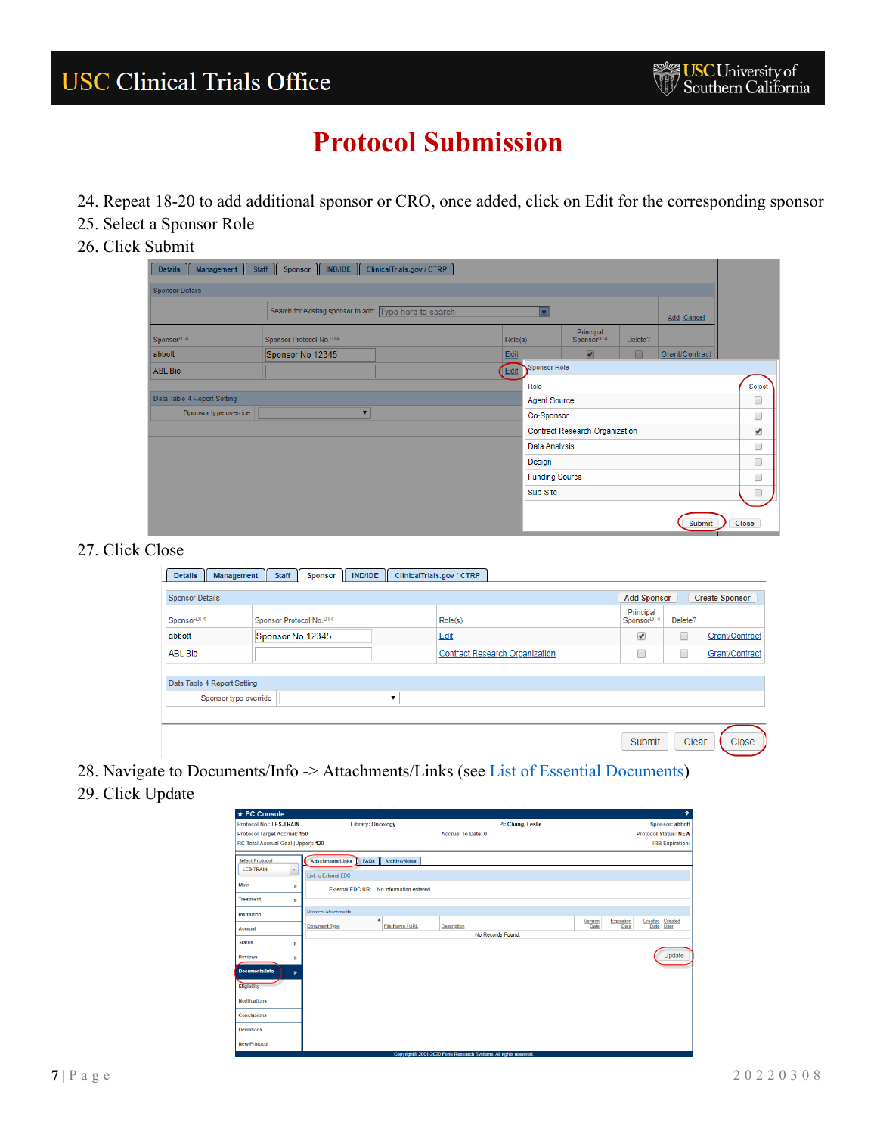- 24. Repeat 18-20 to add additional sponsor or CRO, once added, click on Edit for the corresponding sponsor
- 25. Select a Sponsor Role
- 26. Click Submit

| Management<br><b>Details</b> | ClinicalTrials.gov / CTRP<br>Staff  <br>I IND/IDE<br>Sponsor |         |                       |                                       |         |                |                          |
|------------------------------|--------------------------------------------------------------|---------|-----------------------|---------------------------------------|---------|----------------|--------------------------|
| <b>Sponsor Details</b>       |                                                              |         |                       |                                       |         |                |                          |
|                              | Search for existing sponsor to add: Type here to search      |         |                       |                                       |         | Add Cancel     |                          |
| Sponsor <sup>DT4</sup>       | Sponsor Protocol No.DT4                                      | Role(s) |                       | Principal<br>Sponsor <sup>DT4</sup>   | Delete? |                |                          |
| abbott                       | Sponsor No 12345                                             | Edit    |                       | $\overline{\blacktriangledown}$       | $\Box$  | Grant/Contract |                          |
| <b>ABL Bio</b>               |                                                              | Edit    | Sponsor Role          |                                       |         |                |                          |
|                              |                                                              | Role    |                       |                                       |         |                | Select                   |
| Data Table 4 Report Setting  |                                                              |         | <b>Agent Source</b>   |                                       |         |                | ■                        |
| Sponsor type override        | $\overline{\mathbf{v}}$                                      |         | Co-Sponsor            |                                       |         |                | 0                        |
|                              |                                                              |         |                       | <b>Contract Research Organization</b> |         |                | $\overline{\mathcal{C}}$ |
|                              |                                                              |         | Data Analysis         |                                       |         |                | □                        |
|                              |                                                              | Design  |                       |                                       |         |                | 0                        |
|                              |                                                              |         | <b>Funding Source</b> |                                       |         |                | $\Box$                   |
|                              |                                                              |         | Sub-Site              |                                       |         |                | □                        |
|                              |                                                              |         |                       |                                       |         |                |                          |
|                              |                                                              |         |                       |                                       |         | Submit         | Close                    |

#### 27. Click Close

| <b>Sponsor Details</b>      |                                     |   |                                       |  |                                     | <b>Add Sponsor</b> | <b>Create Sponsor</b> |
|-----------------------------|-------------------------------------|---|---------------------------------------|--|-------------------------------------|--------------------|-----------------------|
| Sponsor <sup>DT4</sup>      | Sponsor Protocol No. <sup>DT4</sup> |   | Role(s)                               |  | Principal<br>Sponsor <sup>DT4</sup> | Delete?            |                       |
| abbott                      | Sponsor No 12345                    |   | Edit                                  |  | ✔                                   | □                  | Grant/Contract        |
| <b>ABL Bio</b>              |                                     |   | <b>Contract Research Organization</b> |  | O<br>۰                              |                    | Grant/Contract        |
|                             |                                     |   |                                       |  |                                     |                    |                       |
| Data Table 4 Report Setting |                                     |   |                                       |  |                                     |                    |                       |
|                             |                                     | ٠ |                                       |  |                                     |                    |                       |
|                             | Sponsor type override               |   |                                       |  |                                     |                    |                       |

28. Navigate to Documents/Info -> Attachments/Links (see [List of Essential Documents\)](#page-9-1)

### 29. Click Update

| ★ PC Console                                              |                                                                           |                           | $\overline{?}$                                                        |
|-----------------------------------------------------------|---------------------------------------------------------------------------|---------------------------|-----------------------------------------------------------------------|
| Protocol No.: LES-TRAIN                                   | <b>Library: Oncology</b>                                                  | PI: Chung, Leslie         | Sponsor: abbott                                                       |
| <b>Protocol Target Accrual: 150</b>                       |                                                                           | <b>Accrual To Date: 0</b> | <b>Protocol Status: NEW</b>                                           |
| RC Total Accrual Goal (Upper): 120                        |                                                                           |                           | <b>IRB Expiration:</b>                                                |
| <b>Select Protocol</b><br><b>LES-TRAIN</b><br>$\mathbf v$ | <b>Attachments/Links</b><br>FAQS<br>Archive/Notes<br>Link to External EDC |                           |                                                                       |
| Main<br>w                                                 | External EDC URL No information entered.                                  |                           |                                                                       |
| <b>Treatment</b><br>w                                     |                                                                           |                           |                                                                       |
| Institution                                               | <b>Protocol Attachments</b>                                               |                           |                                                                       |
| Accrual                                                   | File Name / URL<br>Document Type                                          | <b>Description</b>        | Created Created<br>Expiration<br>Version<br>Date<br>Date<br>Date User |
| <b>Status</b>                                             |                                                                           | No Records Found          |                                                                       |
| $\mathbf{v}$                                              |                                                                           |                           |                                                                       |
| <b>Reviews</b><br>w                                       |                                                                           |                           | Update                                                                |
| <b>Documents/Info</b><br>»                                |                                                                           |                           |                                                                       |
| Eligibility                                               |                                                                           |                           |                                                                       |
| <b>Notifications</b>                                      |                                                                           |                           |                                                                       |
| <b>Conclusions</b>                                        |                                                                           |                           |                                                                       |
| <b>Deviations</b>                                         |                                                                           |                           |                                                                       |
| <b>New Protocol</b>                                       |                                                                           |                           |                                                                       |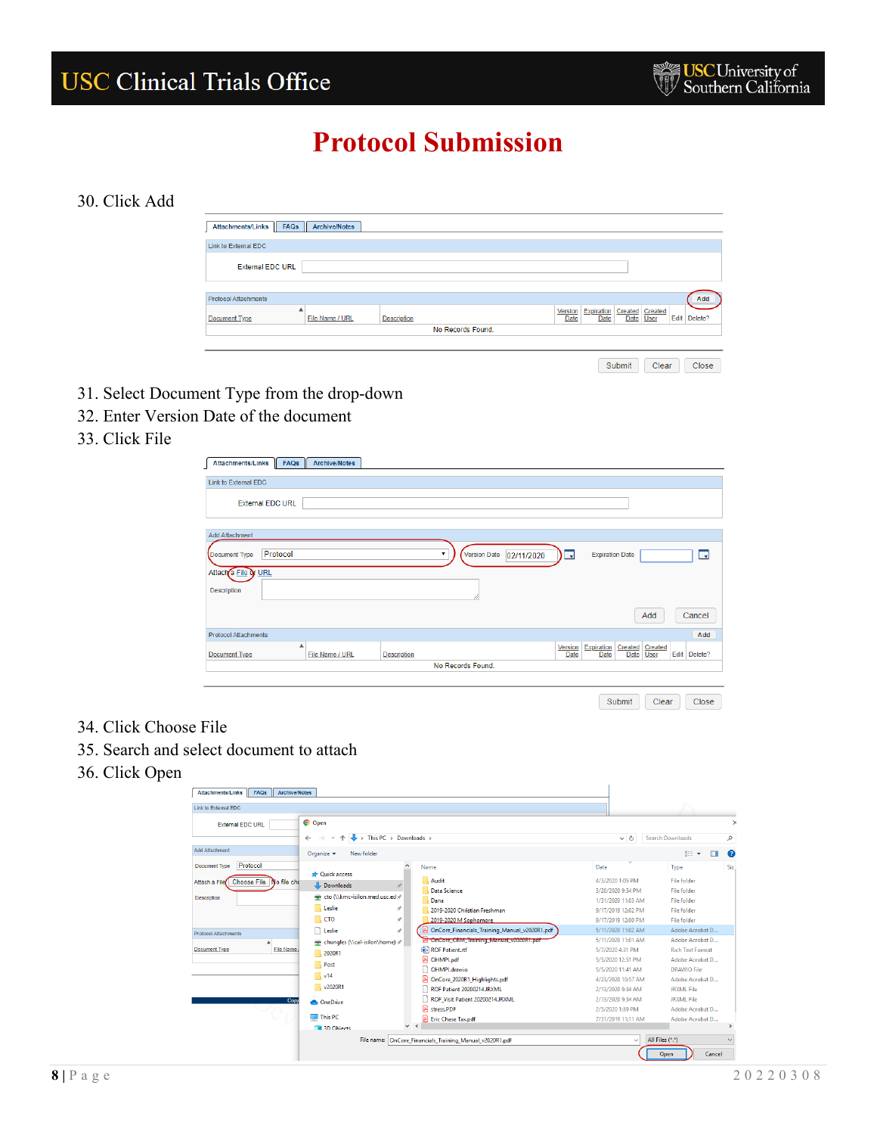#### 30. Click Add

| Attachments/Links   FAQs    | <b>Archive/Notes</b> |                    |  |                        |                           |                              |  |      |         |  |
|-----------------------------|----------------------|--------------------|--|------------------------|---------------------------|------------------------------|--|------|---------|--|
| Link to External EDC        |                      |                    |  |                        |                           |                              |  |      |         |  |
| <b>External EDC URL</b>     |                      |                    |  |                        |                           |                              |  |      |         |  |
| <b>Protocol Attachments</b> | Add                  |                    |  |                        |                           |                              |  |      |         |  |
| ▲<br><b>Document Type</b>   | File Name / URL      | <b>Description</b> |  | Version<br><b>Date</b> | Expiration<br><b>Date</b> | Created Created<br>Date User |  | Edit | Delete? |  |
| No Records Found.           |                      |                    |  |                        |                           |                              |  |      |         |  |
|                             |                      |                    |  |                        |                           |                              |  |      |         |  |

Submit Clear Close

- 31. Select Document Type from the drop-down
- 32. Enter Version Date of the document
- 33. Click File

| <b>Attachments/Links</b>    | FAQs | <b>Archive/Notes</b> |                    |   |                   |            |                          |                        |                                    |      |         |
|-----------------------------|------|----------------------|--------------------|---|-------------------|------------|--------------------------|------------------------|------------------------------------|------|---------|
| Link to External EDC        |      |                      |                    |   |                   |            |                          |                        |                                    |      |         |
| <b>External EDC URL</b>     |      |                      |                    |   |                   |            |                          |                        |                                    |      |         |
| <b>Add Attachment</b>       |      |                      |                    |   |                   |            |                          |                        |                                    |      |         |
| Protocol<br>Document Type   |      |                      |                    | ▼ | Version Date      | 02/11/2020 | $\overline{\phantom{a}}$ | <b>Expiration Date</b> |                                    |      | H.      |
| Attach a File or URL        |      |                      |                    |   |                   |            |                          |                        |                                    |      |         |
| Description                 |      |                      |                    |   |                   |            |                          |                        |                                    |      |         |
|                             |      |                      |                    |   |                   |            |                          |                        | Add                                |      | Cancel  |
| <b>Protocol Attachments</b> |      |                      |                    |   |                   |            |                          |                        |                                    |      | Add     |
| Document Type               | ▲    | File Name / URL      | <b>Description</b> |   |                   |            | Version<br>Date          | Expiration<br>Date     | Created<br>Created<br>Date<br>User | Edit | Delete? |
|                             |      |                      |                    |   | No Records Found. |            |                          |                        |                                    |      |         |
|                             |      |                      |                    |   |                   |            |                          |                        |                                    |      |         |

Submit Clear Close

- 34. Click Choose File
- 35. Search and select document to attach
- 36. Click Open

| <b>External EDC URL</b>                  | <b>O</b> Open                       |                                                          |                    |                                  |
|------------------------------------------|-------------------------------------|----------------------------------------------------------|--------------------|----------------------------------|
|                                          | $\rightarrow$ This PC > Downloads > |                                                          | $\vee$ 0           | Search Downloads<br>م            |
| <b>Add Attachment</b>                    | New folder<br>Organize $\star$      |                                                          |                    | 脂: ▼<br>ш<br>$\bullet$           |
| Protocol<br>Document Type                |                                     | Name                                                     | Date               | Siz<br>Type                      |
| Choose File No file che<br>Attach a File | <b>Cuick access</b>                 | <b>Audit</b>                                             | 4/3/2020 1:05 PM   | File folder                      |
|                                          | Downloads                           | <b>Data Science</b>                                      | 3/20/2020 9:54 PM  | <b>File folder</b>               |
| Description                              | eto (\\kmc-isilon.med.usc.ed *      | Dana                                                     | 1/31/2020 11:03 AM | File folder                      |
|                                          | Leslie<br>À                         | 2019-2020 Christian Freshman                             | 9/17/2019 12:02 PM | File folder                      |
|                                          | <b>CTO</b><br>À                     | 2019-2020 M Sophomore                                    | 9/17/2019 12:00 PM | File folder                      |
| <b>Protocol Attachments</b>              | Leslie<br>÷                         | OnCore_Financials_Training_Manual_v2020R1.pdf            | 5/11/2020 11:02 AM | Adobe Acrobat D                  |
|                                          | chungles (\\cal-isilon\home) **     | <b>A OnCore CRM Training Manual v2020R1.pdf</b>          | 5/11/2020 11:01 AM | Adobe Acrobat D                  |
| <b>Document Type</b><br><b>File Name</b> | 2020R1                              | <b>BE ROF Patient.rtf</b>                                | 5/7/2020 4:31 PM   | <b>Rich Text Format</b>          |
|                                          | Post                                | 图 OHMPl.pdf                                              | 5/5/2020 12:51 PM  | Adobe Acrobat D                  |
|                                          |                                     | OHMPI.drawio                                             | 5/5/2020 11:41 AM  | <b>DRAWIO File</b>               |
|                                          | $\sqrt{14}$                         | A OnCore 2020R1 Highlights.pdf                           | 4/23/2020 10:57 AM | Adobe Acrobat D                  |
|                                          | $\sqrt{2020R1}$                     | ROF Patient 20200214.JRXML                               | 2/13/2020 9:34 AM  | <b>JRXML File</b>                |
| Cop                                      | <b>ConeDrive</b>                    | ROF_Visit Patient 20200214JRXML                          | 2/13/2020 9:34 AM  | <b>JRXML File</b>                |
|                                          |                                     | <b>A</b> stress.PDF                                      | 2/5/2020 1:39 PM   | Adobe Acrobat D                  |
|                                          | $\Box$ This PC                      | <b>Eric Chase Tax.pdf</b><br>$\vee$ $\leq$               | 7/31/2019 11:11 AM | Adobe Acrobat D<br>$\rightarrow$ |
|                                          | 13D Objects                         |                                                          |                    |                                  |
|                                          |                                     | File name: OnCore Financials Training Manual v2020R1.pdf | $\checkmark$       | All Files (*.*)                  |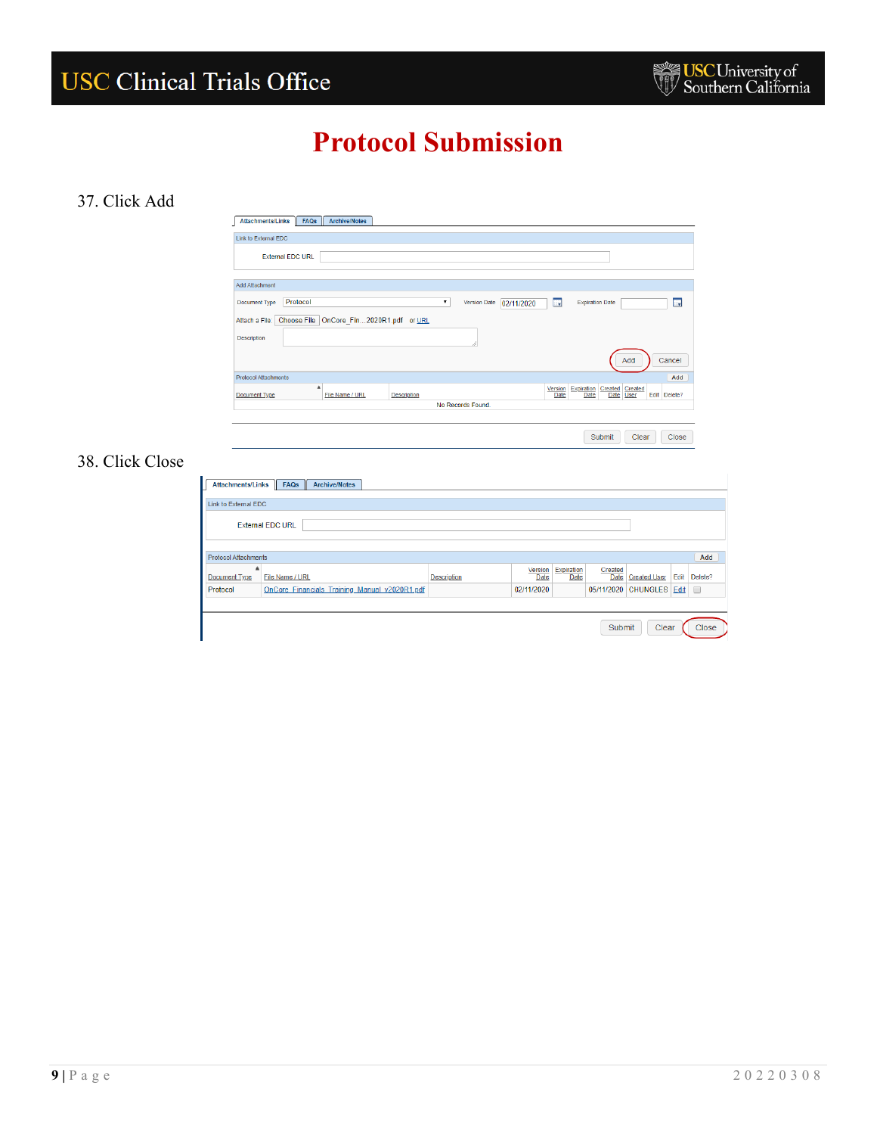#### 37. Click Add



### 38. Click Close

| Link to External EDC        |                                               |                    |                        |                    |                 |                          |      |         |  |
|-----------------------------|-----------------------------------------------|--------------------|------------------------|--------------------|-----------------|--------------------------|------|---------|--|
|                             | <b>External EDC URL</b>                       |                    |                        |                    |                 |                          |      |         |  |
| <b>Protocol Attachments</b> |                                               |                    |                        |                    |                 |                          |      | Add     |  |
| Document Type               | File Name / URL                               | <b>Description</b> | Version<br><b>Date</b> | Expiration<br>Date | Created<br>Date | <b>Created User</b>      | Edit | Delete? |  |
| Protocol                    | OnCore Financials Training Manual v2020R1.pdf |                    | 02/11/2020             |                    |                 | 05/11/2020 CHUNGLES Edit |      | 0       |  |
|                             |                                               |                    |                        |                    |                 |                          |      |         |  |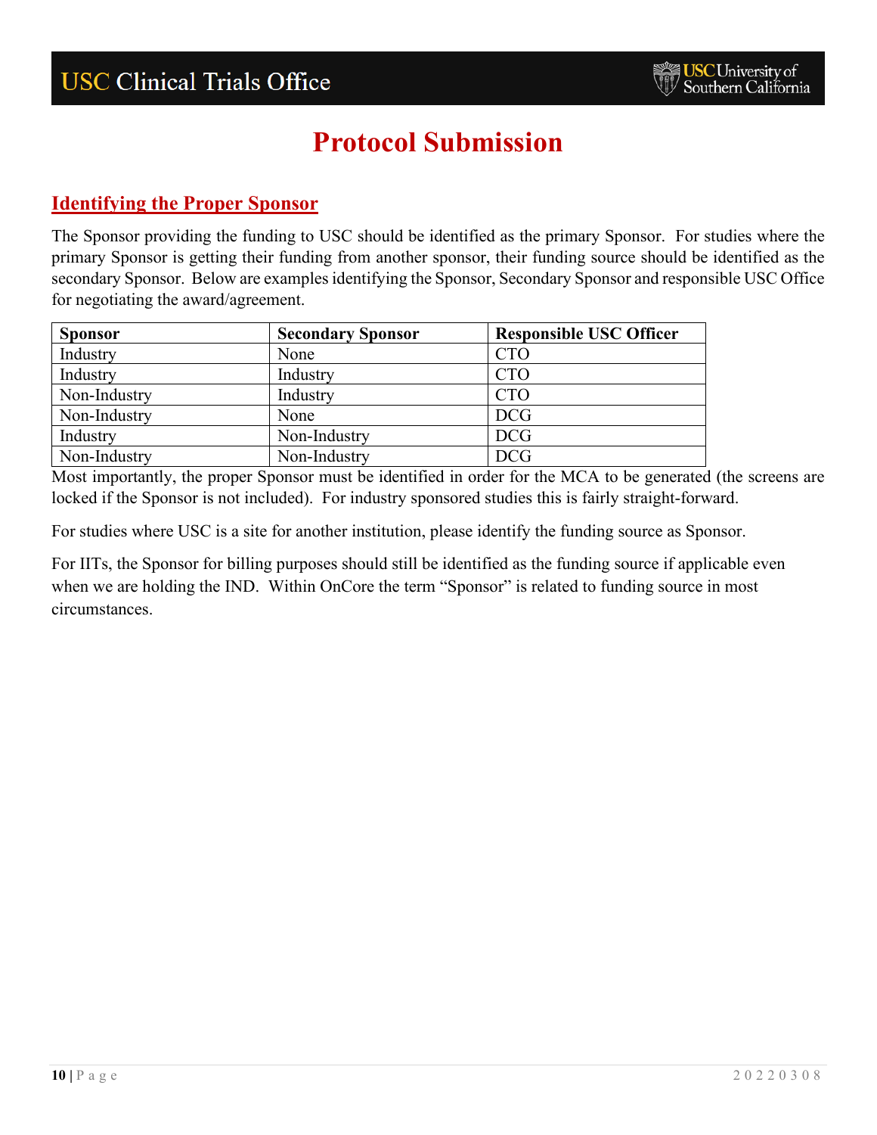### <span id="page-9-0"></span>**Identifying the Proper Sponsor**

The Sponsor providing the funding to USC should be identified as the primary Sponsor. For studies where the primary Sponsor is getting their funding from another sponsor, their funding source should be identified as the secondary Sponsor. Below are examples identifying the Sponsor, Secondary Sponsor and responsible USC Office for negotiating the award/agreement.

| <b>Sponsor</b> | <b>Secondary Sponsor</b> | <b>Responsible USC Officer</b> |
|----------------|--------------------------|--------------------------------|
| Industry       | None                     | <b>CTO</b>                     |
| Industry       | Industry                 | <b>CTO</b>                     |
| Non-Industry   | Industry                 | <b>CTO</b>                     |
| Non-Industry   | None                     | <b>DCG</b>                     |
| Industry       | Non-Industry             | <b>DCG</b>                     |
| Non-Industry   | Non-Industry             | <b>DCG</b>                     |

Most importantly, the proper Sponsor must be identified in order for the MCA to be generated (the screens are locked if the Sponsor is not included). For industry sponsored studies this is fairly straight-forward.

For studies where USC is a site for another institution, please identify the funding source as Sponsor.

<span id="page-9-1"></span>For IITs, the Sponsor for billing purposes should still be identified as the funding source if applicable even when we are holding the IND. Within OnCore the term "Sponsor" is related to funding source in most circumstances.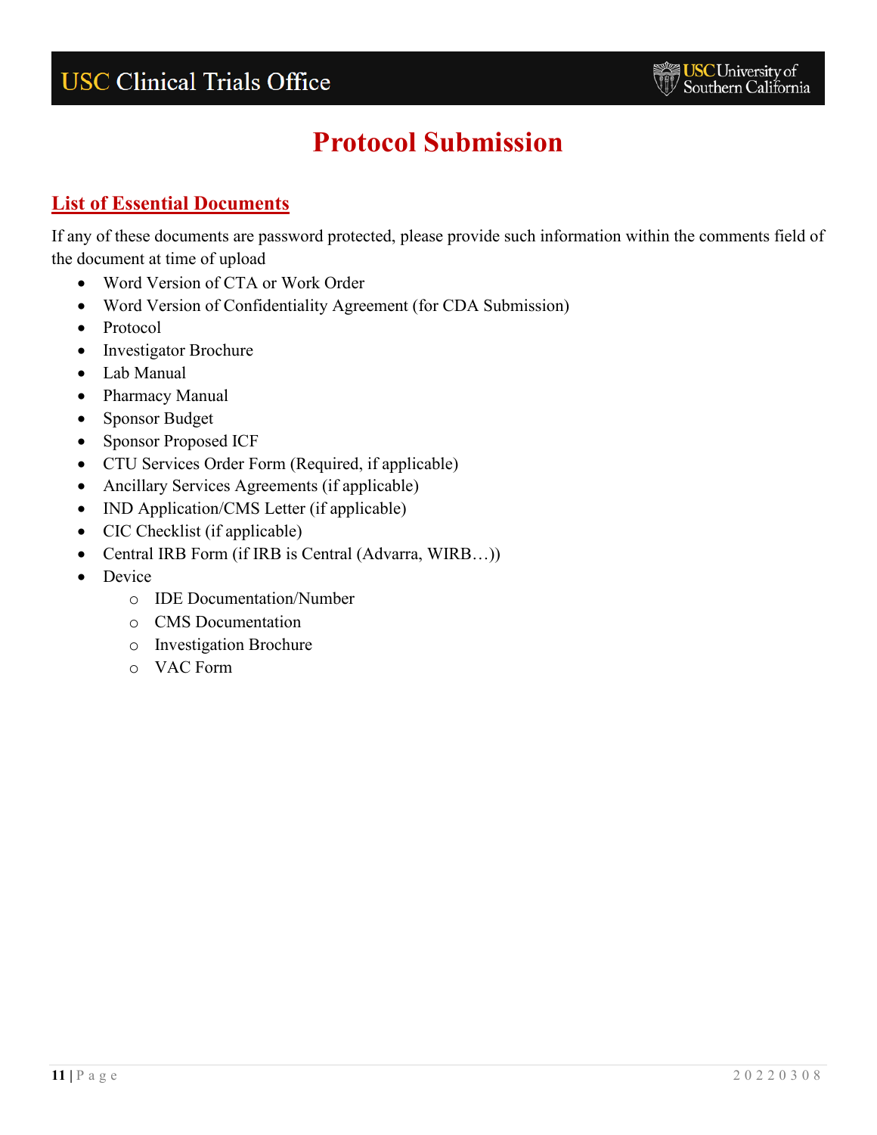### **List of Essential Documents**

If any of these documents are password protected, please provide such information within the comments field of the document at time of upload

- Word Version of CTA or Work Order
- Word Version of Confidentiality Agreement (for CDA Submission)
- Protocol
- Investigator Brochure
- Lab Manual
- Pharmacy Manual
- Sponsor Budget
- Sponsor Proposed ICF
- CTU Services Order Form (Required, if applicable)
- Ancillary Services Agreements (if applicable)
- IND Application/CMS Letter (if applicable)
- CIC Checklist (if applicable)
- Central IRB Form (if IRB is Central (Advarra, WIRB...))
- Device
	- o IDE Documentation/Number
	- o CMS Documentation
	- o Investigation Brochure
	- o VAC Form